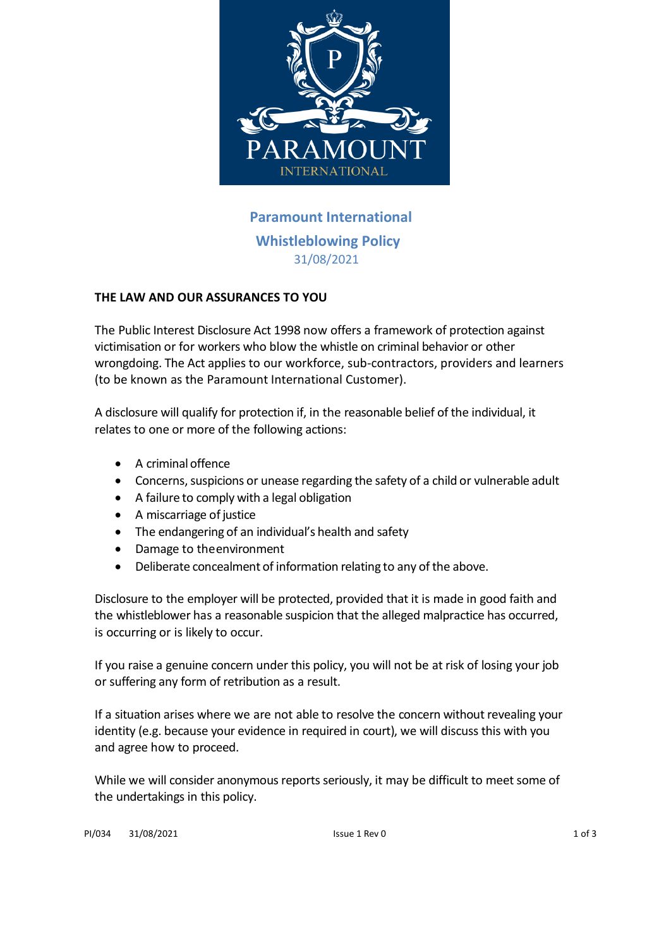

# **Paramount International Whistleblowing Policy** 31/08/2021

# **THE LAW AND OUR ASSURANCES TO YOU**

The Public Interest Disclosure Act 1998 now offers a framework of protection against victimisation or for workers who blow the whistle on criminal behavior or other wrongdoing. The Act applies to our workforce, sub-contractors, providers and learners (to be known as the Paramount International Customer).

A disclosure will qualify for protection if, in the reasonable belief of the individual, it relates to one or more of the following actions:

- A criminal offence
- Concerns, suspicions or unease regarding the safety of a child or vulnerable adult
- A failure to comply with a legal obligation
- A miscarriage of justice
- The endangering of an individual's health and safety
- Damage to theenvironment
- Deliberate concealment of information relating to any of the above.

Disclosure to the employer will be protected, provided that it is made in good faith and the whistleblower has a reasonable suspicion that the alleged malpractice has occurred, is occurring or is likely to occur.

If you raise a genuine concern under this policy, you will not be at risk of losing your job or suffering any form of retribution as a result.

If a situation arises where we are not able to resolve the concern without revealing your identity (e.g. because your evidence in required in court), we will discuss this with you and agree how to proceed.

While we will consider anonymous reports seriously, it may be difficult to meet some of the undertakings in this policy.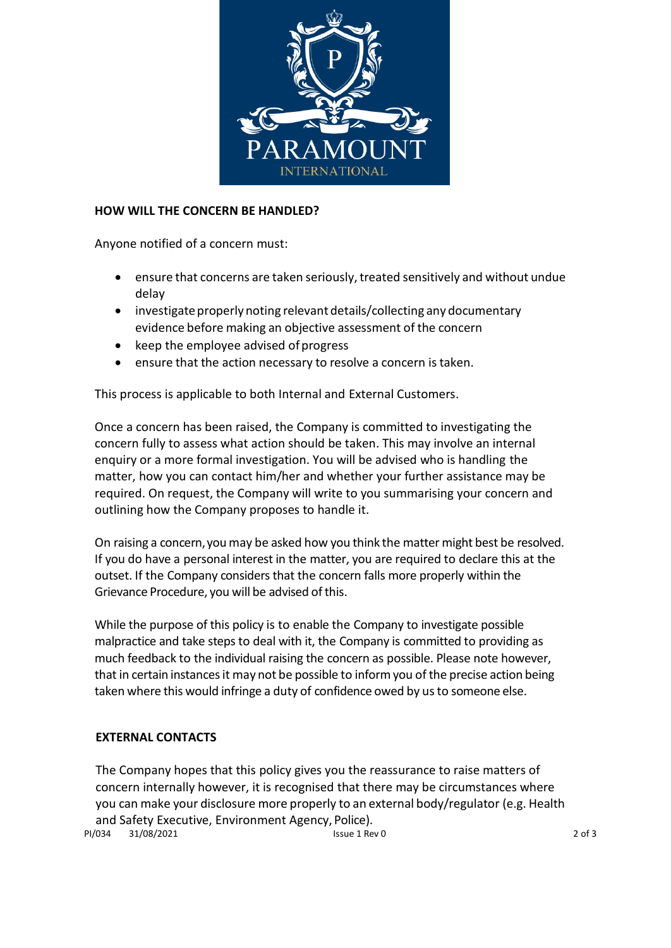

### **HOW WILL THE CONCERN BE HANDLED?**

Anyone notified of a concern must:

- ensure that concerns are taken seriously, treated sensitively and without undue delay
- investigate properly noting relevant details/collecting any documentary evidence before making an objective assessment of the concern
- keep the employee advised of progress
- ensure that the action necessary to resolve a concern istaken.

This process is applicable to both Internal and External Customers.

Once a concern has been raised, the Company is committed to investigating the concern fully to assess what action should be taken. This may involve an internal enquiry or a more formal investigation. You will be advised who is handling the matter, how you can contact him/her and whether your further assistance may be required. On request, the Company will write to you summarising your concern and outlining how the Company proposes to handle it.

On raising a concern, you may be asked how you think the matter might best be resolved. If you do have a personal interest in the matter, you are required to declare this at the outset. If the Company considers that the concern falls more properly within the Grievance Procedure, you will be advised of this.

While the purpose of this policy is to enable the Company to investigate possible malpractice and take steps to deal with it, the Company is committed to providing as much feedback to the individual raising the concern as possible. Please note however, that in certain instancesit may not be possible to informyou of the precise action being taken where this would infringe a duty of confidence owed by us to someone else.

# **EXTERNAL CONTACTS**

PI/034 31/08/2021 2013 30:00 2013 15:00:00 2013 15:00:00 2014 17:00 2014 17:00 2014 17:00 2014 17:00 2014 17:0 The Company hopes that this policy gives you the reassurance to raise matters of concern internally however, it is recognised that there may be circumstances where you can make your disclosure more properly to an external body/regulator (e.g. Health and Safety Executive, Environment Agency, Police).